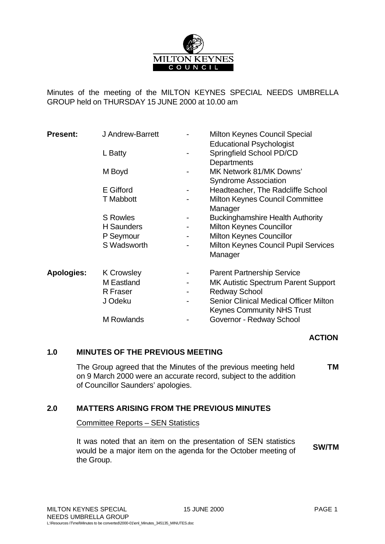

Minutes of the meeting of the MILTON KEYNES SPECIAL NEEDS UMBRELLA GROUP held on THURSDAY 15 JUNE 2000 at 10.00 am

| <b>Present:</b>   | J Andrew-Barrett<br>L Batty |   | <b>Milton Keynes Council Special</b><br><b>Educational Psychologist</b><br>Springfield School PD/CD<br>Departments |
|-------------------|-----------------------------|---|--------------------------------------------------------------------------------------------------------------------|
|                   | M Boyd                      |   | MK Network 81/MK Downs'<br><b>Syndrome Association</b>                                                             |
|                   | E Gifford                   |   | Headteacher, The Radcliffe School                                                                                  |
|                   | <b>T</b> Mabbott            |   | Milton Keynes Council Committee<br>Manager                                                                         |
|                   | <b>S</b> Rowles             |   | <b>Buckinghamshire Health Authority</b>                                                                            |
|                   | <b>H</b> Saunders           | - | <b>Milton Keynes Councillor</b>                                                                                    |
|                   | P Seymour                   | ۰ | <b>Milton Keynes Councillor</b>                                                                                    |
|                   | S Wadsworth                 |   | <b>Milton Keynes Council Pupil Services</b><br>Manager                                                             |
| <b>Apologies:</b> | <b>K Crowsley</b>           |   | <b>Parent Partnership Service</b>                                                                                  |
|                   | M Eastland                  |   | <b>MK Autistic Spectrum Parent Support</b>                                                                         |
|                   | R Fraser                    |   | <b>Redway School</b>                                                                                               |
|                   | J Odeku                     |   | <b>Senior Clinical Medical Officer Milton</b><br><b>Keynes Community NHS Trust</b>                                 |
|                   | M Rowlands                  |   | Governor - Redway School                                                                                           |

### **ACTION**

#### **1.0 MINUTES OF THE PREVIOUS MEETING**

The Group agreed that the Minutes of the previous meeting held on 9 March 2000 were an accurate record, subject to the addition of Councillor Saunders' apologies. **TM**

### **2.0 MATTERS ARISING FROM THE PREVIOUS MINUTES**

Committee Reports – SEN Statistics

It was noted that an item on the presentation of SEN statistics would be a major item on the agenda for the October meeting of the Group. **SW/TM**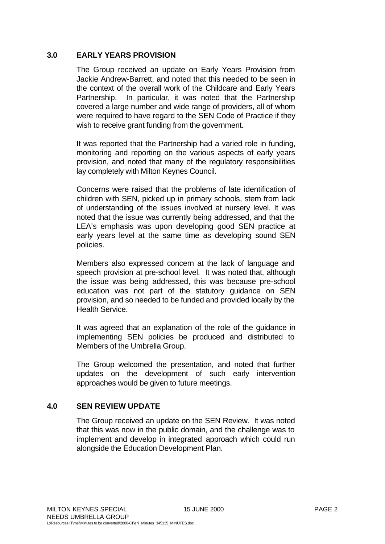### **3.0 EARLY YEARS PROVISION**

The Group received an update on Early Years Provision from Jackie Andrew-Barrett, and noted that this needed to be seen in the context of the overall work of the Childcare and Early Years Partnership. In particular, it was noted that the Partnership covered a large number and wide range of providers, all of whom were required to have regard to the SEN Code of Practice if they wish to receive grant funding from the government.

It was reported that the Partnership had a varied role in funding, monitoring and reporting on the various aspects of early years provision, and noted that many of the regulatory responsibilities lay completely with Milton Keynes Council.

Concerns were raised that the problems of late identification of children with SEN, picked up in primary schools, stem from lack of understanding of the issues involved at nursery level. It was noted that the issue was currently being addressed, and that the LEA's emphasis was upon developing good SEN practice at early years level at the same time as developing sound SEN policies.

Members also expressed concern at the lack of language and speech provision at pre-school level. It was noted that, although the issue was being addressed, this was because pre-school education was not part of the statutory guidance on SEN provision, and so needed to be funded and provided locally by the Health Service.

It was agreed that an explanation of the role of the guidance in implementing SEN policies be produced and distributed to Members of the Umbrella Group.

The Group welcomed the presentation, and noted that further updates on the development of such early intervention approaches would be given to future meetings.

### **4.0 SEN REVIEW UPDATE**

The Group received an update on the SEN Review. It was noted that this was now in the public domain, and the challenge was to implement and develop in integrated approach which could run alongside the Education Development Plan.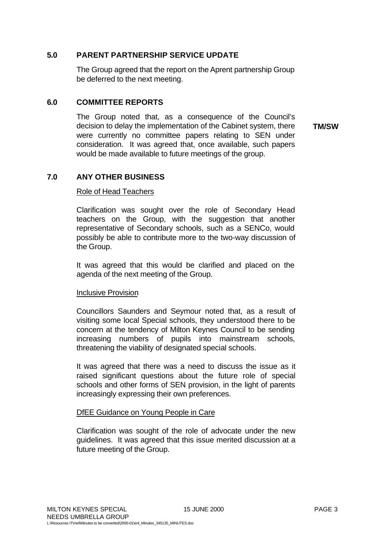#### **5.0 PARENT PARTNERSHIP SERVICE UPDATE**

The Group agreed that the report on the Aprent partnership Group be deferred to the next meeting.

#### **6.0 COMMITTEE REPORTS**

The Group noted that, as a consequence of the Council's decision to delay the implementation of the Cabinet system, there were currently no committee papers relating to SEN under consideration. It was agreed that, once available, such papers would be made available to future meetings of the group.

**TM/SW**

### **7.0 ANY OTHER BUSINESS**

#### Role of Head Teachers

Clarification was sought over the role of Secondary Head teachers on the Group, with the suggestion that another representative of Secondary schools, such as a SENCo, would possibly be able to contribute more to the two-way discussion of the Group.

It was agreed that this would be clarified and placed on the agenda of the next meeting of the Group.

#### Inclusive Provision

Councillors Saunders and Seymour noted that, as a result of visiting some local Special schools, they understood there to be concern at the tendency of Milton Keynes Council to be sending increasing numbers of pupils into mainstream schools, threatening the viability of designated special schools.

It was agreed that there was a need to discuss the issue as it raised significant questions about the future role of special schools and other forms of SEN provision, in the light of parents increasingly expressing their own preferences.

#### DfEE Guidance on Young People in Care

Clarification was sought of the role of advocate under the new guidelines. It was agreed that this issue merited discussion at a future meeting of the Group.